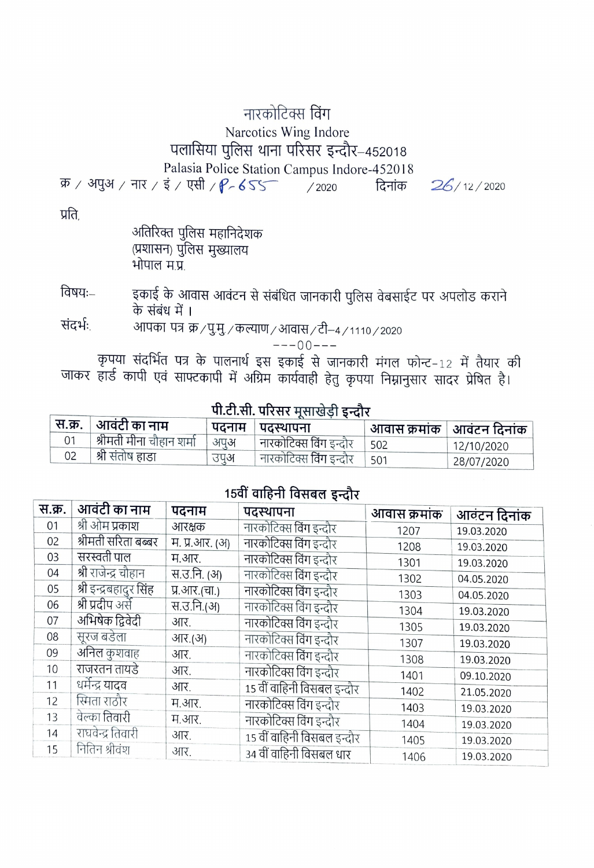## नारकोटिक्स विंग Narcotics Wing Indore पलासिया पुलिस थाना परिसर इन्दौर-452018 Palasia Police Station Campus Indore-452018

 $\overline{\mathfrak{P}}$  / अपुअ / नार / इं / एसी /  $P - 655$  / 2020 दिनांक

 $26/12/2020$ 

प्रति

|              | अतिरिक्त पुलिस महानिदेशक |
|--------------|--------------------------|
|              | (प्रशासन) पुलिस मुख्यालय |
| भोपाल म.प्र. |                          |

इकाई के आवास आवंटन से संबंधित जानकारी पुलिस वेबसाईट पर अपलोड कराने विषयः– के संबंध में ।

संदर्भः आपका पत्र क्र / पु.मु. / कल्याण / आवास / टी-4 / 1110 / 2020

 $---00---$ 

कृपया संदर्भित पत्र के पालनार्थ इस इकाई से जानकारी मंगल फोन्ट-12 में तैयार की जाकर हार्ड कापी एवं साफ्टकापी में अग्रिम कार्यवाही हेतु कृपया निम्नानुसार सादर प्रेषित है।

## पी.टी.सी. परिसर मुसाखेड़ी इन्दौर

|    | स.क्र.   आवंटी का नाम    |     | ापदनाम । पदस्थापना             |             | आवास क्रमांक   आवंटन दिनांक |
|----|--------------------------|-----|--------------------------------|-------------|-----------------------------|
|    | श्रीमती मीना चौहान शर्मा | अपअ | नारकोटिक्स विंग इन्दौर         | $\vert$ 502 | 12/10/2020                  |
| 02 | श्री संतोष हाडा          | उपअ | । नारकोटिक्स विंग इन्दौर   501 |             | 28/07/2020                  |

## 15वीं वाहिनी विसबल इन्दौर

| स.क्र. | आवंटी का नाम           | पदनाम          | पदस्थापना                   | आवास क्रमांक | आवंटन दिनांक |
|--------|------------------------|----------------|-----------------------------|--------------|--------------|
| 01     | श्री ओम प्रकाश         | आरक्षक         | नारकोटिक्स विंग इन्दौर      | 1207         | 19.03.2020   |
| 02     | श्रीमती सरिता बब्बर    | म. प्र.आर. (अ) | नारकोटिक्स विंग इन्दौर      | 1208         | 19.03.2020   |
| 03     | सरस्वती पाल            | म.आर.          | नारकोटिक्स विंग इन्दौर      | 1301         | 19.03.2020   |
| 04     | श्री राजेन्द्र चौहान   | स.उ.नि. (अ)    | नारकोटिक्स विंग इन्दौर      | 1302         | 04.05.2020   |
| 05     | श्री इन्द्रबहादुर सिंह | प्र.आर.(चा.)   | नारकोटिक्स विंग इन्दौर      | 1303         | 04.05.2020   |
| 06     | श्री प्रदीप अर्से      | स.उ.नि.(अ)     | नारकोटिक्स विंग इन्दौर      | 1304         | 19.03.2020   |
| 07     | अभिषेक द्विवेदी        | आर.            | नारकोटिक्स विंग इन्दौर      | 1305         | 19.03.2020   |
| 08     | सूरज बडेला             | आर.(अ)         | नारकोटिक्स विंग इन्दौर      | 1307         | 19.03.2020   |
| 09     | अनिल कुशवाह            | आर.            | नारकोटिक्स विंग इन्दौर      | 1308         | 19.03.2020   |
| 10     | राजरतन तायडे           | आर.            | नारकोटिक्स विंग इन्दौर      | 1401         | 09.10.2020   |
| 11     | धर्मेन्द्र यादव        | आर.            | 15 वीं वाहिनी विसबल इन्दौर  | 1402         |              |
| 12     | स्मिता राठौर           | म.आर.          | नारकोटिक्स विंग इन्दौर      |              | 21.05.2020   |
| 13     | वेल्का तिवारी          | म.आर.          | नारकोटिक्स विंग इन्दौर      | 1403         | 19.03.2020   |
| 14     | राघवेन्द्र तिवारी      | आर.            |                             | 1404         | 19.03.2020   |
| 15     | नितिन श्रीवंश          |                | 15 वीं वाहिनी विसंबल इन्दौर | 1405         | 19.03.2020   |
|        |                        | आर.            | 34 वीं वाहिनी विसंबल धार    | 1406         | 19.03.2020   |